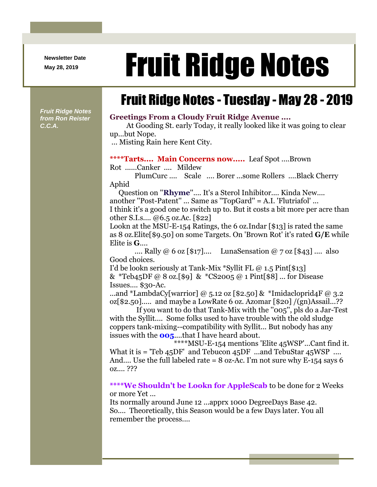**Newsletter Date**

# Newsletter Date **Fruit Ridge Notes**

## Fruit Ridge Notes - Tuesday - May 28 - 2019

*Fruit Ridge Notes from Ron Reister C.C.A.*

## **Greetings From a Cloudy Fruit Ridge Avenue ....**

At Gooding St. early Today, it really looked like it was going to clear up...but Nope.

... Misting Rain here Kent City.

## **\*\*\*\*Tarts.... Main Concerns now.....** Leaf Spot ....Brown

Rot ......Canker .... Mildew

PlumCurc .... Scale .... Borer ...some Rollers ....Black Cherry Aphid

Question on ''**Rhyme**''.... It's a Sterol Inhibitor.... Kinda New.... another ''Post-Patent'' ... Same as ''TopGard'' = A.I. 'Flutriafol' ... I think it's a good one to switch up to. But it costs a bit more per acre than other S.I.s.... @6.5 oz.Ac. [\$22]

Lookn at the MSU-E-154 Ratings, the 6 oz.Indar [\$13] is rated the same as 8 oz.Elite[\$9.50] on some Targets. On 'Brown Rot' it's rated **G/E** while Elite is **G**....

.... Rally  $\omega$  6 oz [\$17].... LunaSensation  $\omega$  7 oz [\$43] .... also Good choices.

I'd be lookn seriously at Tank-Mix \*Syllit FL  $\omega$  1.5 Pint [\$13] & \*Teb45DF @ 8 oz.[\$9] & \*CS2005 @ 1 Pint[\$8] ... for Disease Issues.... \$30-Ac.

...and \*LambdaCy[warrior] @ 5.12 oz [\$2.50] & \*Imidacloprid4F @ 3.2 oz[\$2.50]..... and maybe a LowRate 6 oz. Azomar [\$20] /(gn)Assail...??

If you want to do that Tank-Mix with the ''005'', pls do a Jar-Test with the Syllit.... Some folks used to have trouble with the old sludge coppers tank-mixing--compatibility with Syllit... But nobody has any issues with the **005**....that I have heard about.

\*\*\*\*MSU-E-154 mentions 'Elite 45WSP'...Cant find it. What it is = 'Teb  $45DF'$  and Tebucon  $45DF$  ...and TebuStar  $45WSP$  .... And.... Use the full labeled rate =  $8$  oz-Ac. I'm not sure why E-154 says 6 oz.... ???

**\*\*\*\*We Shouldn't be Lookn for AppleScab** to be done for 2 Weeks or more Yet ...

Its normally around June 12 ...apprx 1000 DegreeDays Base 42. So.... Theoretically, this Season would be a few Days later. You all remember the process....